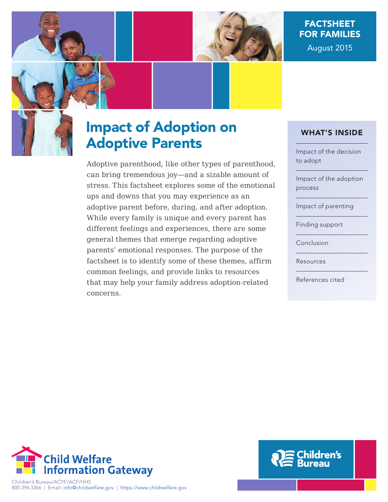

# FACTSHEET FOR FAMILIES

August 2015



# Impact of Adoption on Adoptive Parents

Adoptive parenthood, like other types of parenthood, can bring tremendous joy—and a sizable amount of stress. This factsheet explores some of the emotional ups and downs that you may experience as an adoptive parent before, during, and after adoption. While every family is unique and every parent has different feelings and experiences, there are some general themes that emerge regarding adoptive parents' emotional responses. The purpose of the factsheet is to identify some of these themes, affirm common feelings, and provide links to resources that may help your family address adoption-related concerns.

## WHAT'S INSIDE

Impact of the decision to adopt

Impact of the adoption process

Impact of parenting

Finding support

Conclusion

Resources

References cited



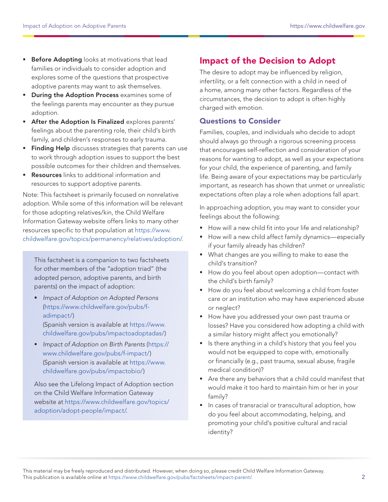- **Before Adopting** looks at motivations that lead families or individuals to consider adoption and explores some of the questions that prospective adoptive parents may want to ask themselves.
- **During the Adoption Process** examines some of the feelings parents may encounter as they pursue adoption.
- **After the Adoption Is Finalized explores parents'** feelings about the parenting role, their child's birth family, and children's responses to early trauma.
- Finding Help discusses strategies that parents can use to work through adoption issues to support the best possible outcomes for their children and themselves.
- **Resources** links to additional information and resources to support adoptive parents.

Note: This factsheet is primarily focused on nonrelative adoption. While some of this information will be relevant for those adopting relatives/kin, the Child Welfare Information Gateway website offers links to many other resources specific to that population at [https://www.](https://www.childwelfare.gov/topics/permanency/relatives/adoption) [childwelfare.gov/topics/permanency/relatives/adoption/.](https://www.childwelfare.gov/topics/permanency/relatives/adoption)

This factsheet is a companion to two factsheets for other members of the "adoption triad" (the adopted person, adoptive parents, and birth parents) on the impact of adoption:

- **Impact of Adoption on Adopted Persons** [\(https://www.childwelfare.gov/pubs/f](https://www.childwelfare.gov/pubs/f-adimpact/)[adimpact/\)](https://www.childwelfare.gov/pubs/f-adimpact/) (Spanish version is available at [https://www.](https://www.childwelfare.gov/pubs/impactoadoptadas/) [childwelfare.gov/pubs/impactoadoptadas/\)](https://www.childwelfare.gov/pubs/impactoadoptadas/)
- Impact of Adoption on Birth Parents ([https://](https://www.childwelfare.gov/pubs/f-impact/) [www.childwelfare.gov/pubs/f-impact/](https://www.childwelfare.gov/pubs/f-impact/)) (Spanish version is available at [https://www.](https://www.childwelfare.gov/pubs/impactobio/) [childwelfare.gov/pubs/impactobio/\)](https://www.childwelfare.gov/pubs/impactobio/)

Also see the Lifelong Impact of Adoption section on the Child Welfare Information Gateway website at [https://www.childwelfare.gov/topics/](https://www.childwelfare.gov/topics/adoption/adopt-people/impact/) [adoption/adopt-people/impact/.](https://www.childwelfare.gov/topics/adoption/adopt-people/impact/)

# Impact of the Decision to Adopt

The desire to adopt may be influenced by religion, infertility, or a felt connection with a child in need of a home, among many other factors. Regardless of the circumstances, the decision to adopt is often highly charged with emotion.

#### Questions to Consider

Families, couples, and individuals who decide to adopt should always go through a rigorous screening process that encourages self-reflection and consideration of your reasons for wanting to adopt, as well as your expectations for your child, the experience of parenting, and family life. Being aware of your expectations may be particularly important, as research has shown that unmet or unrealistic expectations often play a role when adoptions fall apart.

In approaching adoption, you may want to consider your feelings about the following:

- How will a new child fit into your life and relationship?
- How will a new child affect family dynamics—especially if your family already has children?
- What changes are you willing to make to ease the child's transition?
- How do you feel about open adoption-contact with the child's birth family?
- How do you feel about welcoming a child from foster care or an institution who may have experienced abuse or neglect?
- **How have you addressed your own past trauma or** losses? Have you considered how adopting a child with a similar history might affect you emotionally?
- Is there anything in a child's history that you feel you would not be equipped to cope with, emotionally or financially (e.g., past trauma, sexual abuse, fragile medical condition)?
- Are there any behaviors that a child could manifest that would make it too hard to maintain him or her in your family?
- In cases of transracial or transcultural adoption, how do you feel about accommodating, helping, and promoting your child's positive cultural and racial identity?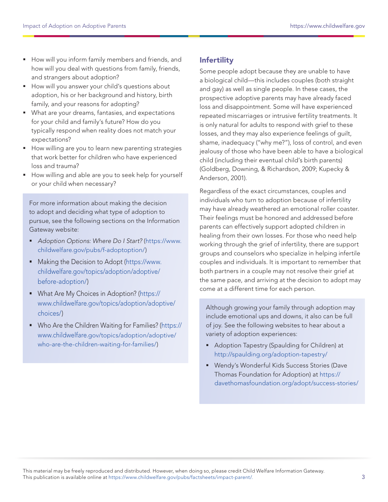- How will you inform family members and friends, and how will you deal with questions from family, friends, and strangers about adoption?
- How will you answer your child's questions about adoption, his or her background and history, birth family, and your reasons for adopting?
- What are your dreams, fantasies, and expectations for your child and family's future? How do you typically respond when reality does not match your expectations?
- **How willing are you to learn new parenting strategies** that work better for children who have experienced loss and trauma?
- **How willing and able are you to seek help for yourself** or your child when necessary?

For more information about making the decision to adopt and deciding what type of adoption to pursue, see the following sections on the Information Gateway website:

- Adoption Options: Where Do I Start? ([https://www.](https://www.childwelfare.gov/pubs/f-adoptoption/) [childwelfare.gov/pubs/f-adoptoption/](https://www.childwelfare.gov/pubs/f-adoptoption/))
- **Making the Decision to Adopt ([https://www.](https://www.childwelfare.gov/topics/adoption/adoptive/before-adoption/)** [childwelfare.gov/topics/adoption/adoptive/](https://www.childwelfare.gov/topics/adoption/adoptive/before-adoption/) [before-adoption/](https://www.childwelfare.gov/topics/adoption/adoptive/before-adoption/))
- **What Are My Choices in Adoption? ([https://](https://www.childwelfare.gov/topics/adoption/adoptive/choices/)** [www.childwelfare.gov/topics/adoption/adoptive/](https://www.childwelfare.gov/topics/adoption/adoptive/choices/) [choices/](https://www.childwelfare.gov/topics/adoption/adoptive/choices/))
- Who Are the Children Waiting for Families? ([https://](https://www.childwelfare.gov/topics/adoption/adoptive/who-are-the-children-waiting-for-families/) [www.childwelfare.gov/topics/adoption/adoptive/](https://www.childwelfare.gov/topics/adoption/adoptive/who-are-the-children-waiting-for-families/) [who-are-the-children-waiting-for-families/](https://www.childwelfare.gov/topics/adoption/adoptive/who-are-the-children-waiting-for-families/))

#### **Infertility**

Some people adopt because they are unable to have a biological child—this includes couples (both straight and gay) as well as single people. In these cases, the prospective adoptive parents may have already faced loss and disappointment. Some will have experienced repeated miscarriages or intrusive fertility treatments. It is only natural for adults to respond with grief to these losses, and they may also experience feelings of guilt, shame, inadequacy ("why me?"), loss of control, and even jealousy of those who have been able to have a biological child (including their eventual child's birth parents) (Goldberg, Downing, & Richardson, 2009; Kupecky & Anderson, 2001).

Regardless of the exact circumstances, couples and individuals who turn to adoption because of infertility may have already weathered an emotional roller coaster. Their feelings must be honored and addressed before parents can effectively support adopted children in healing from their own losses. For those who need help working through the grief of infertility, there are support groups and counselors who specialize in helping infertile couples and individuals. It is important to remember that both partners in a couple may not resolve their grief at the same pace, and arriving at the decision to adopt may come at a different time for each person.

Although growing your family through adoption may include emotional ups and downs, it also can be full of joy. See the following websites to hear about a variety of adoption experiences:

- **Adoption Tapestry (Spaulding for Children) at** <http://spaulding.org/adoption-tapestry/>
- Wendy's Wonderful Kids Success Stories (Dave Thomas Foundation for Adoption) at [https://](https://davethomasfoundation.org/adopt/success-stories/ ) [davethomasfoundation.org/adopt/success-stories/](https://davethomasfoundation.org/adopt/success-stories/ )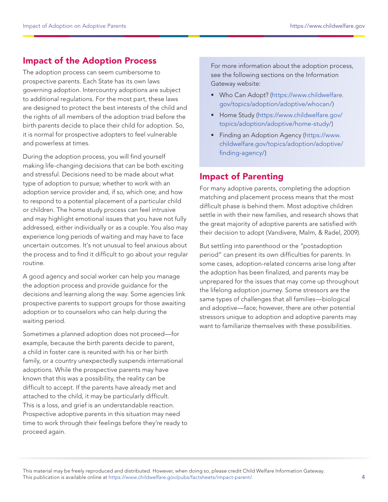# Impact of the Adoption Process

The adoption process can seem cumbersome to prospective parents. Each State has its own laws governing adoption. Intercountry adoptions are subject to additional regulations. For the most part, these laws are designed to protect the best interests of the child and the rights of all members of the adoption triad before the birth parents decide to place their child for adoption. So, it is normal for prospective adopters to feel vulnerable and powerless at times.

During the adoption process, you will find yourself making life-changing decisions that can be both exciting and stressful. Decisions need to be made about what type of adoption to pursue; whether to work with an adoption service provider and, if so, which one; and how to respond to a potential placement of a particular child or children. The home study process can feel intrusive and may highlight emotional issues that you have not fully addressed, either individually or as a couple. You also may experience long periods of waiting and may have to face uncertain outcomes. It's not unusual to feel anxious about the process and to find it difficult to go about your regular routine.

A good agency and social worker can help you manage the adoption process and provide guidance for the decisions and learning along the way. Some agencies link prospective parents to support groups for those awaiting adoption or to counselors who can help during the waiting period.

Sometimes a planned adoption does not proceed—for example, because the birth parents decide to parent, a child in foster care is reunited with his or her birth family, or a country unexpectedly suspends international adoptions. While the prospective parents may have known that this was a possibility, the reality can be difficult to accept. If the parents have already met and attached to the child, it may be particularly difficult. This is a loss, and grief is an understandable reaction. Prospective adoptive parents in this situation may need time to work through their feelings before they're ready to proceed again.

For more information about the adoption process, see the following sections on the Information Gateway website:

- Who Can Adopt? [\(https://www.childwelfare.](https://www.childwelfare.gov/topics/adoption/adoptive/whocan/) [gov/topics/adoption/adoptive/whocan/\)](https://www.childwelfare.gov/topics/adoption/adoptive/whocan/)
- **Home Study [\(https://www.childwelfare.gov/](https://www.childwelfare.gov/topics/adoption/adoptive/home-study/)** [topics/adoption/adoptive/home-study/](https://www.childwelfare.gov/topics/adoption/adoptive/home-study/))
- **Finding an Adoption Agency [\(https://www.](https://www.childwelfare.gov/topics/adoption/adoptive/finding-agency/)** [childwelfare.gov/topics/adoption/adoptive/](https://www.childwelfare.gov/topics/adoption/adoptive/finding-agency/) [finding-agency/\)](https://www.childwelfare.gov/topics/adoption/adoptive/finding-agency/)

## Impact of Parenting

For many adoptive parents, completing the adoption matching and placement process means that the most difficult phase is behind them. Most adoptive children settle in with their new families, and research shows that the great majority of adoptive parents are satisfied with their decision to adopt (Vandivere, Malm, & Radel, 2009).

But settling into parenthood or the "postadoption period" can present its own difficulties for parents. In some cases, adoption-related concerns arise long after the adoption has been finalized, and parents may be unprepared for the issues that may come up throughout the lifelong adoption journey. Some stressors are the same types of challenges that all families—biological and adoptive—face; however, there are other potential stressors unique to adoption and adoptive parents may want to familiarize themselves with these possibilities.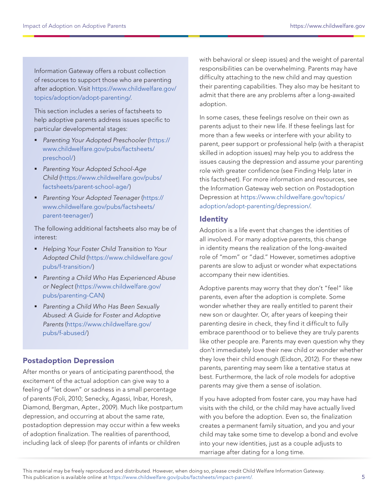Information Gateway offers a robust collection of resources to support those who are parenting after adoption. Visit [https://www.childwelfare.gov/](https://www.childwelfare.gov/topics/adoption/adopt-parenting/) [topics/adoption/adopt-parenting/.](https://www.childwelfare.gov/topics/adoption/adopt-parenting/)

This section includes a series of factsheets to help adoptive parents address issues specific to particular developmental stages:

- Parenting Your Adopted Preschooler ([https://](https://www.childwelfare.gov/pubs/factsheets/preschool/) [www.childwelfare.gov/pubs/factsheets/](https://www.childwelfare.gov/pubs/factsheets/preschool/) [preschool/](https://www.childwelfare.gov/pubs/factsheets/preschool/))
- **Parenting Your Adopted School-Age** Child [\(https://www.childwelfare.gov/pubs/](https://www.childwelfare.gov/pubs/factsheets/parent-school-age/) [factsheets/parent-school-age/](https://www.childwelfare.gov/pubs/factsheets/parent-school-age/))
- Parenting Your Adopted Teenager ([https://](https://www.childwelfare.gov/pubs/factsheets/parent-teenager/) [www.childwelfare.gov/pubs/factsheets/](https://www.childwelfare.gov/pubs/factsheets/parent-teenager/) [parent-teenager/](https://www.childwelfare.gov/pubs/factsheets/parent-teenager/))

The following additional factsheets also may be of interest:

- Helping Your Foster Child Transition to Your Adopted Child [\(https://www.childwelfare.gov/](https://www.childwelfare.gov/pubs/f-transition/) [pubs/f-transition/](https://www.childwelfare.gov/pubs/f-transition/))
- **Parenting a Child Who Has Experienced Abuse** or Neglect ([https://www.childwelfare.gov/](https://www.childwelfare.gov/pubs/parenting-CAN) [pubs/parenting-CAN\)](https://www.childwelfare.gov/pubs/parenting-CAN)
- **Parenting a Child Who Has Been Sexually** Abused: A Guide for Foster and Adoptive Parents ([https://www.childwelfare.gov/](https://www.childwelfare.gov/pubs/f-abused/) [pubs/f-abused/\)](https://www.childwelfare.gov/pubs/f-abused/)

#### Postadoption Depression

After months or years of anticipating parenthood, the excitement of the actual adoption can give way to a feeling of "let down" or sadness in a small percentage of parents (Foli, 2010; Senecky, Agassi, Inbar, Horesh, Diamond, Bergman, Apter., 2009). Much like postpartum depression, and occurring at about the same rate, postadoption depression may occur within a few weeks of adoption finalization. The realities of parenthood, including lack of sleep (for parents of infants or children

with behavioral or sleep issues) and the weight of parental responsibilities can be overwhelming. Parents may have difficulty attaching to the new child and may question their parenting capabilities. They also may be hesitant to admit that there are any problems after a long-awaited adoption.

In some cases, these feelings resolve on their own as parents adjust to their new life. If these feelings last for more than a few weeks or interfere with your ability to parent, peer support or professional help (with a therapist skilled in adoption issues) may help you to address the issues causing the depression and assume your parenting role with greater confidence (see Finding Help later in this factsheet). For more information and resources, see the Information Gateway web section on Postadoption Depression at [https://www.childwelfare.gov/topics/](https://www.childwelfare.gov/topics/adoption/adopt-parenting/depression/) [adoption/adopt-parenting/depression/](https://www.childwelfare.gov/topics/adoption/adopt-parenting/depression/).

#### **Identity**

Adoption is a life event that changes the identities of all involved. For many adoptive parents, this change in identity means the realization of the long-awaited role of "mom" or "dad." However, sometimes adoptive parents are slow to adjust or wonder what expectations accompany their new identities.

Adoptive parents may worry that they don't "feel" like parents, even after the adoption is complete. Some wonder whether they are really entitled to parent their new son or daughter. Or, after years of keeping their parenting desire in check, they find it difficult to fully embrace parenthood or to believe they are truly parents like other people are. Parents may even question why they don't immediately love their new child or wonder whether they love their child enough (Eidson, 2012). For these new parents, parenting may seem like a tentative status at best. Furthermore, the lack of role models for adoptive parents may give them a sense of isolation.

If you have adopted from foster care, you may have had visits with the child, or the child may have actually lived with you before the adoption. Even so, the finalization creates a permanent family situation, and you and your child may take some time to develop a bond and evolve into your new identities, just as a couple adjusts to marriage after dating for a long time.

This material may be freely reproduced and distributed. However, when doing so, please credit Child Welfare Information Gateway. This publication is available online at https://www.childwelfare.gov/pubs/factsheets/impact-parent/.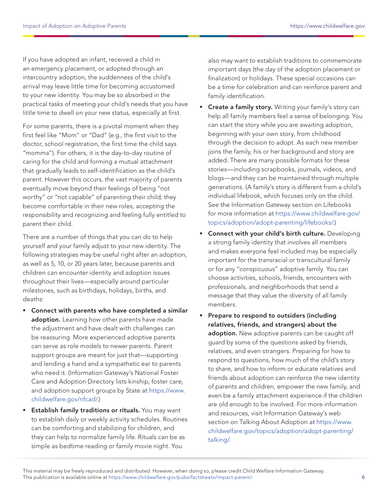If you have adopted an infant, received a child in an emergency placement, or adopted through an intercountry adoption, the suddenness of the child's arrival may leave little time for becoming accustomed to your new identity. You may be so absorbed in the practical tasks of meeting your child's needs that you have little time to dwell on your new status, especially at first.

For some parents, there is a pivotal moment when they first feel like "Mom" or "Dad" (e.g., the first visit to the doctor, school registration, the first time the child says "momma"). For others, it is the day-to-day routine of caring for the child and forming a mutual attachment that gradually leads to self-identification as the child's parent. However this occurs, the vast majority of parents eventually move beyond their feelings of being "not worthy" or "not capable" of parenting their child; they become comfortable in their new roles, accepting the responsibility and recognizing and feeling fully entitled to parent their child.

There are a number of things that you can do to help yourself and your family adjust to your new identity. The following strategies may be useful right after an adoption, as well as 5, 10, or 20 years later, because parents and children can encounter identity and adoption issues throughout their lives—especially around particular milestones, such as birthdays, holidays, births, and deaths:

- Connect with parents who have completed a similar adoption. Learning how other parents have made the adjustment and have dealt with challenges can be reassuring. More experienced adoptive parents can serve as role models to newer parents. Parent support groups are meant for just that—supporting and lending a hand and a sympathetic ear to parents who need it. (Information Gateway's National Foster Care and Adoption Directory lists kinship, foster care, and adoption support groups by State at [https://www.](https://www.childwelfare.gov/nfcad/) [childwelfare.gov/nfcad/.](https://www.childwelfare.gov/nfcad/))
- **Establish family traditions or rituals.** You may want to establish daily or weekly activity schedules. Routines can be comforting and stabilizing for children, and they can help to normalize family life. Rituals can be as simple as bedtime reading or family movie night. You

also may want to establish traditions to commemorate important days (the day of the adoption placement or finalization) or holidays. These special occasions can be a time for celebration and can reinforce parent and family identification.

- **Create a family story.** Writing your family's story can help all family members feel a sense of belonging. You can start the story while you are awaiting adoption, beginning with your own story, from childhood through the decision to adopt. As each new member joins the family, his or her background and story are added. There are many possible formats for these stories—including scrapbooks, journals, videos, and blogs—and they can be maintained through multiple generations. (A family's story is different from a child's individual lifebook, which focuses only on the child. See the Information Gateway section on Lifebooks for more information at [https://www.childwelfare.gov/](https://www.childwelfare.gov/topics/adoption/adopt-parenting/lifebooks/) [topics/adoption/adopt-parenting/lifebooks/.](https://www.childwelfare.gov/topics/adoption/adopt-parenting/lifebooks/))
- **Connect with your child's birth culture.** Developing a strong family identity that involves all members and makes everyone feel included may be especially important for the transracial or transcultural family or for any "conspicuous" adoptive family. You can choose activities, schools, friends, encounters with professionals, and neighborhoods that send a message that they value the diversity of all family members.
- Prepare to respond to outsiders (including relatives, friends, and strangers) about the adoption. New adoptive parents can be caught off guard by some of the questions asked by friends, relatives, and even strangers. Preparing for how to respond to questions, how much of the child's story to share, and how to inform or educate relatives and friends about adoption can reinforce the new identity of parents and children, empower the new family, and even be a family attachment experience if the children are old enough to be involved. For more information and resources, visit Information Gateway's web section on Talking About Adoption at [https://www.](https://www.childwelfare.gov/topics/adoption/adopt-parenting/talking/) [childwelfare.gov/topics/adoption/adopt-parenting/](https://www.childwelfare.gov/topics/adoption/adopt-parenting/talking/) [talking/.](https://www.childwelfare.gov/topics/adoption/adopt-parenting/talking/)

This material may be freely reproduced and distributed. However, when doing so, please credit Child Welfare Information Gateway. This publication is available online at https://www.childwelfare.gov/pubs/factsheets/impact-parent/.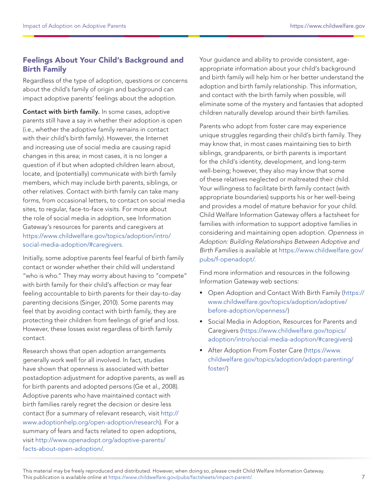## Feelings About Your Child's Background and Birth Family

Regardless of the type of adoption, questions or concerns about the child's family of origin and background can impact adoptive parents' feelings about the adoption.

Contact with birth family. In some cases, adoptive parents still have a say in whether their adoption is open (i.e., whether the adoptive family remains in contact with their child's birth family). However, the Internet and increasing use of social media are causing rapid changes in this area; in most cases, it is no longer a question of if but when adopted children learn about, locate, and (potentially) communicate with birth family members, which may include birth parents, siblings, or other relatives. Contact with birth family can take many forms, from occasional letters, to contact on social media sites, to regular, face-to-face visits. For more about the role of social media in adoption, see Information Gateway's resources for parents and caregivers at [https://www.childwelfare.gov/topics/adoption/intro/](https://www.childwelfare.gov/topics/adoption/intro/social-media-adoption/#caregivers) [social-media-adoption/#caregivers](https://www.childwelfare.gov/topics/adoption/intro/social-media-adoption/#caregivers).

Initially, some adoptive parents feel fearful of birth family contact or wonder whether their child will understand "who is who." They may worry about having to "compete" with birth family for their child's affection or may fear feeling accountable to birth parents for their day-to-day parenting decisions (Singer, 2010). Some parents may feel that by avoiding contact with birth family, they are protecting their children from feelings of grief and loss. However, these losses exist regardless of birth family contact.

Research shows that open adoption arrangements generally work well for all involved. In fact, studies have shown that openness is associated with better postadoption adjustment for adoptive parents, as well as for birth parents and adopted persons (Ge et al., 2008). Adoptive parents who have maintained contact with birth families rarely regret the decision or desire less contact (for a summary of relevant research, visit [http://](http://www.adoptionhelp.org/open-adoption/research) [www.adoptionhelp.org/open-adoption/research\)](http://www.adoptionhelp.org/open-adoption/research). For a summary of fears and facts related to open adoptions, visit [http://www.openadopt.org/adoptive-parents/](http://www.openadopt.org/adoptive-parents/facts-about-open-adoption/) [facts-about-open-adoption/.](http://www.openadopt.org/adoptive-parents/facts-about-open-adoption/)

Your guidance and ability to provide consistent, ageappropriate information about your child's background and birth family will help him or her better understand the adoption and birth family relationship. This information, and contact with the birth family when possible, will eliminate some of the mystery and fantasies that adopted children naturally develop around their birth families.

Parents who adopt from foster care may experience unique struggles regarding their child's birth family. They may know that, in most cases maintaining ties to birth siblings, grandparents, or birth parents is important for the child's identity, development, and long-term well-being; however, they also may know that some of these relatives neglected or maltreated their child. Your willingness to facilitate birth family contact (with appropriate boundaries) supports his or her well-being and provides a model of mature behavior for your child. Child Welfare Information Gateway offers a factsheet for families with information to support adoptive families in considering and maintaining open adoption. Openness in Adoption: Building Relationships Between Adoptive and Birth Families is available at [https://www.childwelfare.gov/](https://www.childwelfare.gov/pubs/f-openadopt/) [pubs/f-openadopt/](https://www.childwelfare.gov/pubs/f-openadopt/).

Find more information and resources in the following Information Gateway web sections:

- Open Adoption and Contact With Birth Family ([https://](https://www.childwelfare.gov/topics/adoption/adoptive/before-adoption/openness/) [www.childwelfare.gov/topics/adoption/adoptive/](https://www.childwelfare.gov/topics/adoption/adoptive/before-adoption/openness/) [before-adoption/openness/](https://www.childwelfare.gov/topics/adoption/adoptive/before-adoption/openness/))
- **Social Media in Adoption, Resources for Parents and** Caregivers ([https://www.childwelfare.gov/topics/](https://www.childwelfare.gov/topics/adoption/intro/social-media-adoption/#caregivers) [adoption/intro/social-media-adoption/#caregivers\)](https://www.childwelfare.gov/topics/adoption/intro/social-media-adoption/#caregivers)
- **After Adoption From Foster Care [\(https://www.](https://www.childwelfare.gov/topics/adoption/adopt-parenting/foster/)** [childwelfare.gov/topics/adoption/adopt-parenting/](https://www.childwelfare.gov/topics/adoption/adopt-parenting/foster/) [foster/](https://www.childwelfare.gov/topics/adoption/adopt-parenting/foster/))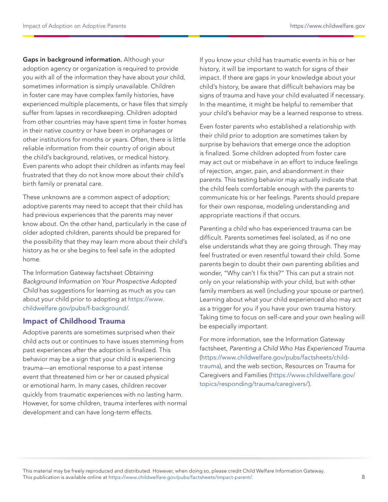Gaps in background information. Although your adoption agency or organization is required to provide you with all of the information they have about your child, sometimes information is simply unavailable. Children in foster care may have complex family histories, have experienced multiple placements, or have files that simply suffer from lapses in recordkeeping. Children adopted from other countries may have spent time in foster homes in their native country or have been in orphanages or other institutions for months or years. Often, there is little reliable information from their country of origin about the child's background, relatives, or medical history. Even parents who adopt their children as infants may feel frustrated that they do not know more about their child's birth family or prenatal care.

These unknowns are a common aspect of adoption; adoptive parents may need to accept that their child has had previous experiences that the parents may never know about. On the other hand, particularly in the case of older adopted children, parents should be prepared for the possibility that they may learn more about their child's history as he or she begins to feel safe in the adopted home.

The Information Gateway factsheet Obtaining Background Information on Your Prospective Adopted Child has suggestions for learning as much as you can about your child prior to adopting at [https://www.](https://www.childwelfare.gov/pubs/f-background/) [childwelfare.gov/pubs/f-background/.](https://www.childwelfare.gov/pubs/f-background/)

#### Impact of Childhood Trauma

Adoptive parents are sometimes surprised when their child acts out or continues to have issues stemming from past experiences after the adoption is finalized. This behavior may be a sign that your child is experiencing trauma—an emotional response to a past intense event that threatened him or her or caused physical or emotional harm. In many cases, children recover quickly from traumatic experiences with no lasting harm. However, for some children, trauma interferes with normal development and can have long-term effects.

If you know your child has traumatic events in his or her history, it will be important to watch for signs of their impact. If there are gaps in your knowledge about your child's history, be aware that difficult behaviors may be signs of trauma and have your child evaluated if necessary. In the meantime, it might be helpful to remember that your child's behavior may be a learned response to stress.

Even foster parents who established a relationship with their child prior to adoption are sometimes taken by surprise by behaviors that emerge once the adoption is finalized. Some children adopted from foster care may act out or misbehave in an effort to induce feelings of rejection, anger, pain, and abandonment in their parents. This testing behavior may actually indicate that the child feels comfortable enough with the parents to communicate his or her feelings. Parents should prepare for their own response, modeling understanding and appropriate reactions if that occurs.

Parenting a child who has experienced trauma can be difficult. Parents sometimes feel isolated, as if no one else understands what they are going through. They may feel frustrated or even resentful toward their child. Some parents begin to doubt their own parenting abilities and wonder, "Why can't I fix this?" This can put a strain not only on your relationship with your child, but with other family members as well (including your spouse or partner). Learning about what your child experienced also may act as a trigger for you if you have your own trauma history. Taking time to focus on self-care and your own healing will be especially important.

For more information, see the Information Gateway factsheet, Parenting a Child Who Has Experienced Trauma ([https://www.childwelfare.gov/pubs/factsheets/child](https://www.childwelfare.gov/pubs/factsheets/child-trauma)[trauma](https://www.childwelfare.gov/pubs/factsheets/child-trauma)), and the web section, Resources on Trauma for Caregivers and Families [\(https://www.childwelfare.gov/](https://www.childwelfare.gov/topics/responding/trauma/caregivers/) [topics/responding/trauma/caregivers/\)](https://www.childwelfare.gov/topics/responding/trauma/caregivers/).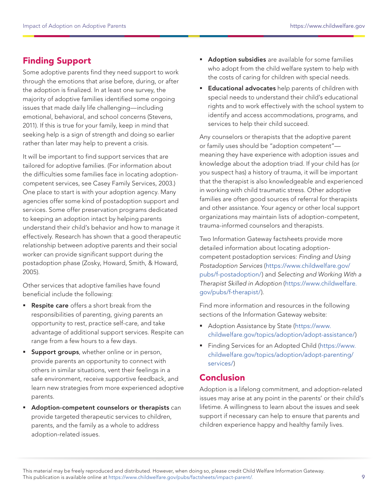# Finding Support

Some adoptive parents find they need support to work through the emotions that arise before, during, or after the adoption is finalized. In at least one survey, the majority of adoptive families identified some ongoing issues that made daily life challenging—including emotional, behavioral, and school concerns (Stevens, 2011). If this is true for your family, keep in mind that seeking help is a sign of strength and doing so earlier rather than later may help to prevent a crisis.

It will be important to find support services that are tailored for adoptive families. (For information about the difficulties some families face in locating adoptioncompetent services, see Casey Family Services, 2003.) One place to start is with your adoption agency. Many agencies offer some kind of postadoption support and services. Some offer preservation programs dedicated to keeping an adoption intact by helping parents understand their child's behavior and how to manage it effectively. Research has shown that a good therapeutic relationship between adoptive parents and their social worker can provide significant support during the postadoption phase (Zosky, Howard, Smith, & Howard, 2005).

Other services that adoptive families have found beneficial include the following:

- Respite care offers a short break from the responsibilities of parenting, giving parents an opportunity to rest, practice self-care, and take advantage of additional support services. Respite can range from a few hours to a few days.
- **Support groups**, whether online or in person, provide parents an opportunity to connect with others in similar situations, vent their feelings in a safe environment, receive supportive feedback, and learn new strategies from more experienced adoptive parents.
- **Adoption-competent counselors or therapists** can provide targeted therapeutic services to children, parents, and the family as a whole to address adoption-related issues.
- **Adoption subsidies** are available for some families who adopt from the child welfare system to help with the costs of caring for children with special needs.
- **Educational advocates** help parents of children with special needs to understand their child's educational rights and to work effectively with the school system to identify and access accommodations, programs, and services to help their child succeed.

Any counselors or therapists that the adoptive parent or family uses should be "adoption competent" meaning they have experience with adoption issues and knowledge about the adoption triad. If your child has (or you suspect has) a history of trauma, it will be important that the therapist is also knowledgeable and experienced in working with child traumatic stress. Other adoptive families are often good sources of referral for therapists and other assistance. Your agency or other local support organizations may maintain lists of adoption-competent, trauma-informed counselors and therapists.

Two Information Gateway factsheets provide more detailed information about locating adoptioncompetent postadoption services: Finding and Using Postadoption Services [\(https://www.childwelfare.gov/](https://www.childwelfare.gov/pubs/f-postadoption/) [pubs/f-postadoption/](https://www.childwelfare.gov/pubs/f-postadoption/)) and Selecting and Working With a Therapist Skilled in Adoption ([https://www.childwelfare.](https://www.childwelfare.gov/pubs/f-therapist/) [gov/pubs/f-therapist/\)](https://www.childwelfare.gov/pubs/f-therapist/).

Find more information and resources in the following sections of the Information Gateway website:

- Adoption Assistance by State ([https://www.](https://www.childwelfare.gov/topics/adoption/adopt-assistance/) [childwelfare.gov/topics/adoption/adopt-assistance/\)](https://www.childwelfare.gov/topics/adoption/adopt-assistance/)
- Finding Services for an Adopted Child ([https://www.](https://www.childwelfare.gov/topics/adoption/adopt-parenting/services/) [childwelfare.gov/topics/adoption/adopt-parenting/](https://www.childwelfare.gov/topics/adoption/adopt-parenting/services/) [services/\)](https://www.childwelfare.gov/topics/adoption/adopt-parenting/services/)

## Conclusion

Adoption is a lifelong commitment, and adoption-related issues may arise at any point in the parents' or their child's lifetime. A willingness to learn about the issues and seek support if necessary can help to ensure that parents and children experience happy and healthy family lives.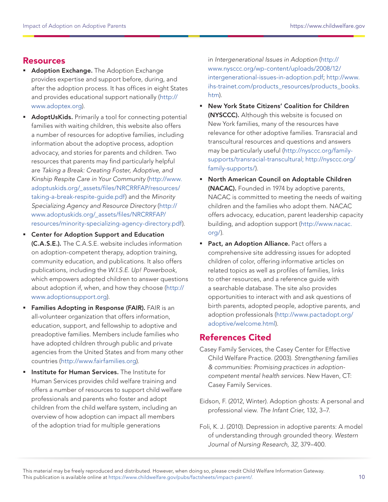## Resources

- **Adoption Exchange.** The Adoption Exchange provides expertise and support before, during, and after the adoption process. It has offices in eight States and provides educational support nationally [\(http://](http://www.adoptex.org) [www.adoptex.org](http://www.adoptex.org)).
- **AdoptUsKids.** Primarily a tool for connecting potential families with waiting children, this website also offers a number of resources for adoptive families, including information about the adoptive process, adoption advocacy, and stories for parents and children. Two resources that parents may find particularly helpful are Taking a Break: Creating Foster, Adoptive, and Kinship Respite Care in Your Community ([http://www.](http://www.adoptuskids.org/_assets/files/NRCRRFAP/resources/taking-a-break-respite-guide.pdf) [adoptuskids.org/\\_assets/files/NRCRRFAP/resources/](http://www.adoptuskids.org/_assets/files/NRCRRFAP/resources/taking-a-break-respite-guide.pdf) [taking-a-break-respite-guide.pdf\)](http://www.adoptuskids.org/_assets/files/NRCRRFAP/resources/taking-a-break-respite-guide.pdf) and the Minority Specializing Agency and Resource Directory ([http://](http://www.adoptuskids.org/_assets/files/NRCRRFAP/resources/minority-specializing-agency-directory.pdf) [www.adoptuskids.org/\\_assets/files/NRCRRFAP/](http://www.adoptuskids.org/_assets/files/NRCRRFAP/resources/minority-specializing-agency-directory.pdf) [resources/minority-specializing-agency-directory.pdf](http://www.adoptuskids.org/_assets/files/NRCRRFAP/resources/minority-specializing-agency-directory.pdf)).
	- Center for Adoption Support and Education (C.A.S.E.). The C.A.S.E. website includes information on adoption-competent therapy, adoption training, community education, and publications. It also offers publications, including the W.I.S.E. Up! Powerbook, which empowers adopted children to answer questions about adoption if, when, and how they choose ([http://](http://www.adoptionsupport.org) [www.adoptionsupport.org\)](http://www.adoptionsupport.org).
- **Families Adopting in Response (FAIR).** FAIR is an all-volunteer organization that offers information, education, support, and fellowship to adoptive and preadoptive families. Members include families who have adopted children through public and private agencies from the United States and from many other countries [\(http://www.fairfamilies.org](http://www.fairfamilies.org)).
- **Institute for Human Services.** The Institute for Human Services provides child welfare training and offers a number of resources to support child welfare professionals and parents who foster and adopt children from the child welfare system, including an overview of how adoption can impact all members of the adoption triad for multiple generations

in Intergenerational Issues in Adoption ([http://](http://www.nysccc.org/wp-content/uploads/2008/12/intergenerational-issues-in-adoption.pdf) [www.nysccc.org/wp-content/uploads/2008/12/](http://www.nysccc.org/wp-content/uploads/2008/12/intergenerational-issues-in-adoption.pdf) [intergenerational-issues-in-adoption.pdf](http://www.nysccc.org/wp-content/uploads/2008/12/intergenerational-issues-in-adoption.pdf); [http://www.](http://www.ihs-trainet.com/products_resources/products_books.htm) [ihs-trainet.com/products\\_resources/products\\_books.](http://www.ihs-trainet.com/products_resources/products_books.htm) [htm\)](http://www.ihs-trainet.com/products_resources/products_books.htm).

- New York State Citizens' Coalition for Children (NYSCCC). Although this website is focused on New York families, many of the resources have relevance for other adoptive families. Transracial and transcultural resources and questions and answers may be particularly useful [\(http://nysccc.org/family](http://nysccc.org/family-supports/transracial-transcultural)[supports/transracial-transcultural;](http://nysccc.org/family-supports/transracial-transcultural) [http://nysccc.org/](http://nysccc.org/family-supports/) [family-supports/\)](http://nysccc.org/family-supports/).
- North American Council on Adoptable Children (NACAC). Founded in 1974 by adoptive parents, NACAC is committed to meeting the needs of waiting children and the families who adopt them. NACAC offers advocacy, education, parent leadership capacity building, and adoption support ([http://www.nacac.](http://www.nacac.org/) [org/](http://www.nacac.org/)).
- **Pact, an Adoption Alliance.** Pact offers a comprehensive site addressing issues for adopted children of color, offering informative articles on related topics as well as profiles of families, links to other resources, and a reference guide with a searchable database. The site also provides opportunities to interact with and ask questions of birth parents, adopted people, adoptive parents, and adoption professionals [\(http://www.pactadopt.org/](http://www.pactadopt.org/adoptive/welcome.html) [adoptive/welcome.html\)](http://www.pactadopt.org/adoptive/welcome.html).

## References Cited

- Casey Family Services, the Casey Center for Effective Child Welfare Practice. (2003). Strengthening families & communities: Promising practices in adoptioncompetent mental health services. New Haven, CT: Casey Family Services.
- Eidson, F. (2012, Winter). Adoption ghosts: A personal and professional view. The Infant Crier, 132, 3–7.
- Foli, K. J. (2010). Depression in adoptive parents: A model of understanding through grounded theory. Western Journal of Nursing Research, 32, 379–400.